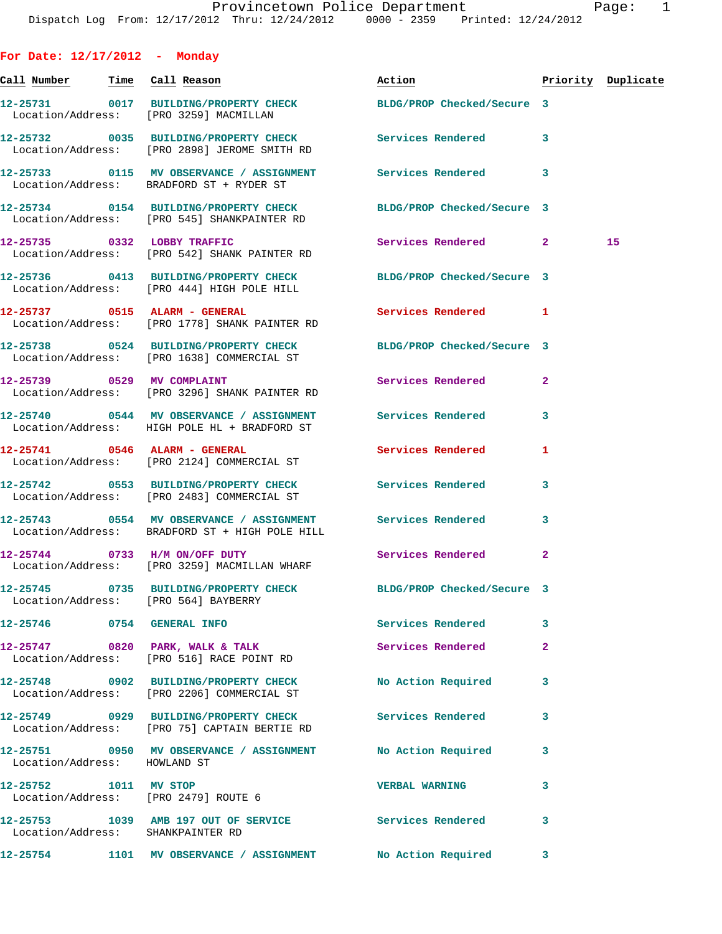| For Date: $12/17/2012$ - Monday   |                                                                                                                 |                           |                    |    |
|-----------------------------------|-----------------------------------------------------------------------------------------------------------------|---------------------------|--------------------|----|
| Call Number Time Call Reason      |                                                                                                                 | Action                    | Priority Duplicate |    |
|                                   | 12-25731 0017 BUILDING/PROPERTY CHECK BLDG/PROP Checked/Secure 3<br>Location/Address: [PRO 3259] MACMILLAN      |                           |                    |    |
|                                   | 12-25732 0035 BUILDING/PROPERTY CHECK Services Rendered<br>Location/Address: [PRO 2898] JEROME SMITH RD         |                           | 3                  |    |
|                                   | 12-25733 0115 MV OBSERVANCE / ASSIGNMENT Services Rendered<br>Location/Address: BRADFORD ST + RYDER ST          |                           | 3                  |    |
|                                   | 12-25734 0154 BUILDING/PROPERTY CHECK BLDG/PROP Checked/Secure 3<br>Location/Address: [PRO 545] SHANKPAINTER RD |                           |                    |    |
|                                   | 12-25735 0332 LOBBY TRAFFIC<br>Location/Address: [PRO 542] SHANK PAINTER RD                                     | Services Rendered 2       |                    | 15 |
|                                   | 12-25736 0413 BUILDING/PROPERTY CHECK BLDG/PROP Checked/Secure 3<br>Location/Address: [PRO 444] HIGH POLE HILL  |                           |                    |    |
|                                   | 12-25737 0515 ALARM - GENERAL<br>Location/Address: [PRO 1778] SHANK PAINTER RD                                  | Services Rendered 1       |                    |    |
|                                   | 12-25738 0524 BUILDING/PROPERTY CHECK BLDG/PROP Checked/Secure 3<br>Location/Address: [PRO 1638] COMMERCIAL ST  |                           |                    |    |
| 12-25739 0529 MV COMPLAINT        | Location/Address: [PRO 3296] SHANK PAINTER RD                                                                   | Services Rendered         | $\mathbf{2}$       |    |
|                                   | 12-25740 0544 MV OBSERVANCE / ASSIGNMENT Services Rendered<br>Location/Address: HIGH POLE HL + BRADFORD ST      |                           | 3                  |    |
|                                   | 12-25741 0546 ALARM - GENERAL<br>Location/Address: [PRO 2124] COMMERCIAL ST                                     | Services Rendered         | 1                  |    |
|                                   | 12-25742 0553 BUILDING/PROPERTY CHECK Services Rendered<br>Location/Address: [PRO 2483] COMMERCIAL ST           |                           | 3                  |    |
|                                   | 12-25743 0554 MV OBSERVANCE / ASSIGNMENT Services Rendered<br>Location/Address: BRADFORD ST + HIGH POLE HILL    |                           | 3                  |    |
|                                   | 12-25744 0733 H/M ON/OFF DUTY<br>Location/Address: [PRO 3259] MACMILLAN WHARF                                   | Services Rendered         | $\overline{a}$     |    |
|                                   | 12-25745 0735 BUILDING/PROPERTY CHECK BLDG/PROP Checked/Secure 3<br>Location/Address: [PRO 564] BAYBERRY        |                           |                    |    |
|                                   | 12-25746 0754 GENERAL INFO                                                                                      | <b>Services Rendered</b>  | 3                  |    |
|                                   | 12-25747 0820 PARK, WALK & TALK<br>Location/Address: [PRO 516] RACE POINT RD                                    | Services Rendered         | $\overline{2}$     |    |
|                                   | 12-25748 0902 BUILDING/PROPERTY CHECK<br>Location/Address: [PRO 2206] COMMERCIAL ST                             | <b>No Action Required</b> | 3                  |    |
|                                   | 12-25749 0929 BUILDING/PROPERTY CHECK Services Rendered<br>Location/Address: [PRO 75] CAPTAIN BERTIE RD         |                           | 3                  |    |
| Location/Address: HOWLAND ST      | 12-25751 0950 MV OBSERVANCE / ASSIGNMENT                                                                        | No Action Required        | 3                  |    |
| 12-25752 1011 MV STOP             | Location/Address: [PRO 2479] ROUTE 6                                                                            | <b>VERBAL WARNING</b>     | 3                  |    |
| Location/Address: SHANKPAINTER RD | 12-25753 1039 AMB 197 OUT OF SERVICE Services Rendered                                                          |                           | 3                  |    |
|                                   | 12-25754 1101 MV OBSERVANCE / ASSIGNMENT No Action Required                                                     |                           | 3                  |    |
|                                   |                                                                                                                 |                           |                    |    |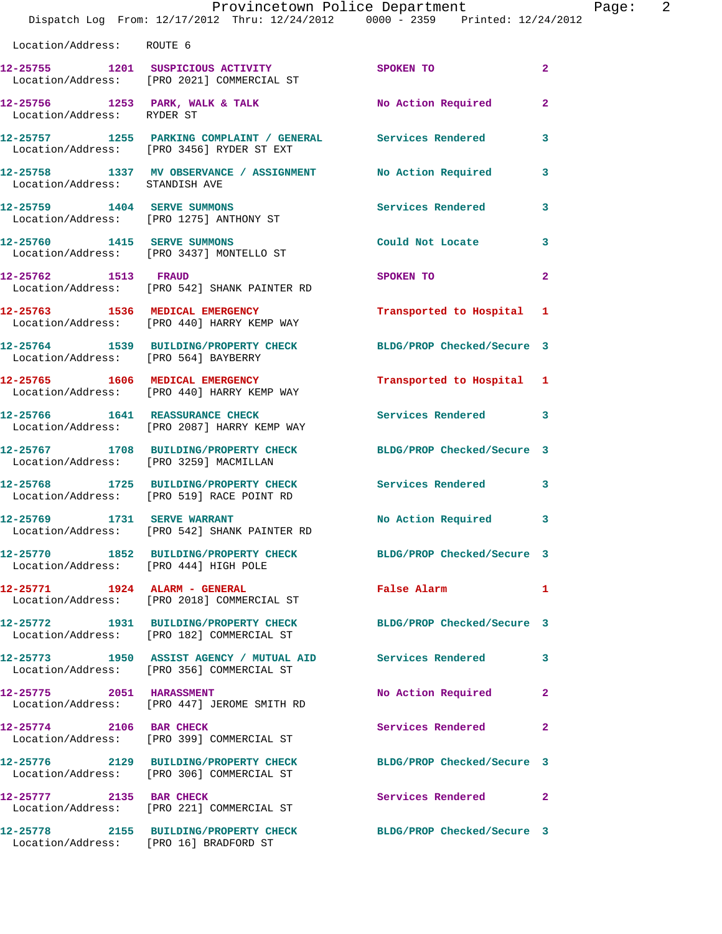|                                | Provincetown Police Department<br>Dispatch Log From: 12/17/2012 Thru: 12/24/2012 0000 - 2359 Printed: 12/24/2012 |                              | Page: 2        |
|--------------------------------|------------------------------------------------------------------------------------------------------------------|------------------------------|----------------|
| Location/Address: ROUTE 6      |                                                                                                                  |                              |                |
|                                | 12-25755 1201 SUSPICIOUS ACTIVITY SPOKEN TO<br>Location/Address: [PRO 2021] COMMERCIAL ST                        |                              | $\overline{2}$ |
| Location/Address: RYDER ST     | 12-25756 1253 PARK, WALK & TALK 1999 No Action Required 2                                                        |                              |                |
|                                | 12-25757 1255 PARKING COMPLAINT / GENERAL Services Rendered<br>Location/Address: [PRO 3456] RYDER ST EXT         |                              | 3              |
| Location/Address: STANDISH AVE | 12-25758 1337 MV OBSERVANCE / ASSIGNMENT No Action Required 3                                                    |                              |                |
|                                | 12-25759 1404 SERVE SUMMONS<br>Location/Address: [PRO 1275] ANTHONY ST                                           | Services Rendered 3          |                |
|                                | 12-25760 1415 SERVE SUMMONS<br>Location/Address: [PRO 3437] MONTELLO ST                                          | Could Not Locate             | 3              |
|                                | 12-25762 1513 FRAUD<br>Location/Address: [PRO 542] SHANK PAINTER RD                                              | SPOKEN TO                    | $\mathbf{2}$   |
|                                | 12-25763 1536 MEDICAL EMERGENCY<br>Location/Address: [PRO 440] HARRY KEMP WAY                                    | Transported to Hospital 1    |                |
|                                | 12-25764 1539 BUILDING/PROPERTY CHECK BLDG/PROP Checked/Secure 3<br>Location/Address: [PRO 564] BAYBERRY         |                              |                |
|                                | 12-25765 1606 MEDICAL EMERGENCY<br>Location/Address: [PRO 440] HARRY KEMP WAY                                    | Transported to Hospital 1    |                |
|                                | 12-25766 1641 REASSURANCE CHECK<br>Location/Address: [PRO 2087] HARRY KEMP WAY                                   | Services Rendered 3          |                |
|                                | 12-25767 1708 BUILDING/PROPERTY CHECK BLDG/PROP Checked/Secure 3<br>Location/Address: [PRO 3259] MACMILLAN       |                              |                |
|                                | 12-25768 1725 BUILDING/PROPERTY CHECK Services Rendered 3<br>Location/Address: [PRO 519] RACE POINT RD           |                              |                |
| 12-25769 1731 SERVE WARRANT    | Location/Address: [PRO 542] SHANK PAINTER RD                                                                     | No Action Required           | 3              |
|                                | 12-25770 1852 BUILDING/PROPERTY CHECK BLDG/PROP Checked/Secure 3<br>Location/Address: [PRO 444] HIGH POLE        |                              |                |
|                                | 12-25771 1924 ALARM - GENERAL<br>Location/Address: [PRO 2018] COMMERCIAL ST                                      | False Alarm <b>Example 2</b> | $\mathbf{1}$   |
|                                | 12-25772 1931 BUILDING/PROPERTY CHECK BLDG/PROP Checked/Secure 3<br>Location/Address: [PRO 182] COMMERCIAL ST    |                              |                |
|                                | 12-25773 1950 ASSIST AGENCY / MUTUAL AID Services Rendered<br>Location/Address: [PRO 356] COMMERCIAL ST          |                              | 3              |
| 12-25775 2051 HARASSMENT       | Location/Address: [PRO 447] JEROME SMITH RD                                                                      | No Action Required 2         |                |
|                                | 12-25774 2106 BAR CHECK<br>Location/Address: [PRO 399] COMMERCIAL ST                                             | Services Rendered            | $\mathbf{2}$   |
|                                | 12-25776 2129 BUILDING/PROPERTY CHECK BLDG/PROP Checked/Secure 3<br>Location/Address: [PRO 306] COMMERCIAL ST    |                              |                |
|                                | 12-25777 2135 BAR CHECK<br>Location/Address: [PRO 221] COMMERCIAL ST                                             | Services Rendered 2          |                |
|                                | 12-25778 2155 BUILDING/PROPERTY CHECK BLDG/PROP Checked/Secure 3                                                 |                              |                |

Location/Address: [PRO 16] BRADFORD ST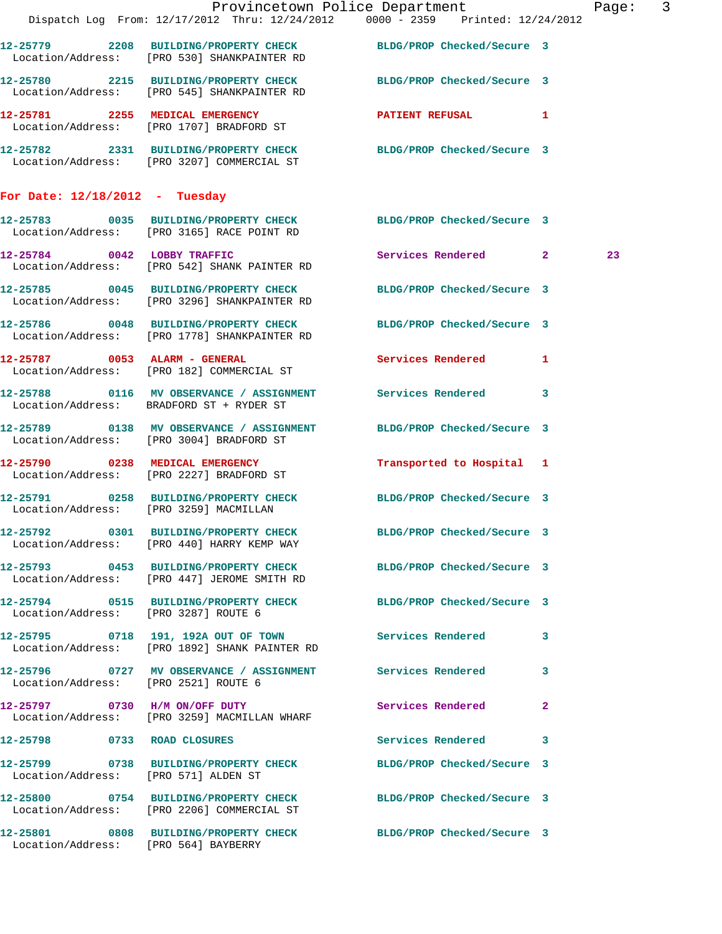|                                        |                                                                                       | Provincetown Police Department Page: 3<br>Dispatch Log From: 12/17/2012 Thru: 12/24/2012 0000 - 2359 Printed: 12/24/2012 |    |  |
|----------------------------------------|---------------------------------------------------------------------------------------|--------------------------------------------------------------------------------------------------------------------------|----|--|
|                                        | Location/Address: [PRO 530] SHANKPAINTER RD                                           | 12-25779 2208 BUILDING/PROPERTY CHECK BLDG/PROP Checked/Secure 3                                                         |    |  |
|                                        | Location/Address: [PRO 545] SHANKPAINTER RD                                           | 12-25780 2215 BUILDING/PROPERTY CHECK BLDG/PROP Checked/Secure 3                                                         |    |  |
|                                        | 12-25781 2255 MEDICAL EMERGENCY<br>Location/Address: [PRO 1707] BRADFORD ST           | PATIENT REFUSAL 1                                                                                                        |    |  |
|                                        | Location/Address: [PRO 3207] COMMERCIAL ST                                            | 12-25782 2331 BUILDING/PROPERTY CHECK BLDG/PROP Checked/Secure 3                                                         |    |  |
| For Date: $12/18/2012$ - Tuesday       |                                                                                       |                                                                                                                          |    |  |
|                                        | Location/Address: [PRO 3165] RACE POINT RD                                            | 12-25783 0035 BUILDING/PROPERTY CHECK BLDG/PROP Checked/Secure 3                                                         |    |  |
|                                        | 12-25784 0042 LOBBY TRAFFIC<br>Location/Address: [PRO 542] SHANK PAINTER RD           | Services Rendered 2                                                                                                      | 23 |  |
|                                        | Location/Address: [PRO 3296] SHANKPAINTER RD                                          | 12-25785 0045 BUILDING/PROPERTY CHECK BLDG/PROP Checked/Secure 3                                                         |    |  |
|                                        | 12-25786 0048 BUILDING/PROPERTY CHECK<br>Location/Address: [PRO 1778] SHANKPAINTER RD | BLDG/PROP Checked/Secure 3                                                                                               |    |  |
|                                        | 12-25787 0053 ALARM - GENERAL<br>Location/Address: [PRO 182] COMMERCIAL ST            | Services Rendered 1                                                                                                      |    |  |
|                                        | Location/Address: BRADFORD ST + RYDER ST                                              | 12-25788 0116 MV OBSERVANCE / ASSIGNMENT Services Rendered 3                                                             |    |  |
|                                        | Location/Address: [PRO 3004] BRADFORD ST                                              | 12-25789 0138 MV OBSERVANCE / ASSIGNMENT BLDG/PROP Checked/Secure 3                                                      |    |  |
|                                        | 12-25790 0238 MEDICAL EMERGENCY<br>Location/Address: [PRO 2227] BRADFORD ST           | Transported to Hospital 1                                                                                                |    |  |
| Location/Address: [PRO 3259] MACMILLAN |                                                                                       | 12-25791 0258 BUILDING/PROPERTY CHECK BLDG/PROP Checked/Secure 3                                                         |    |  |
|                                        | 12-25792 0301 BUILDING/PROPERTY CHECK<br>Location/Address: [PRO 440] HARRY KEMP WAY   | BLDG/PROP Checked/Secure 3                                                                                               |    |  |
|                                        | Location/Address: [PRO 447] JEROME SMITH RD                                           | 12-25793 0453 BUILDING/PROPERTY CHECK BLDG/PROP Checked/Secure 3                                                         |    |  |
| Location/Address: [PRO 3287] ROUTE 6   |                                                                                       | 12-25794 0515 BUILDING/PROPERTY CHECK BLDG/PROP Checked/Secure 3                                                         |    |  |
|                                        | Location/Address: [PRO 1892] SHANK PAINTER RD                                         | 12-25795 0718 191, 192A OUT OF TOWN Services Rendered 3                                                                  |    |  |
| Location/Address: [PRO 2521] ROUTE 6   | 12-25796 0727 MV OBSERVANCE / ASSIGNMENT Services Rendered                            | 3                                                                                                                        |    |  |
|                                        | 12-25797 0730 H/M ON/OFF DUTY<br>Location/Address: [PRO 3259] MACMILLAN WHARF         | Services Rendered<br>$\mathbf{2}$                                                                                        |    |  |
| 12-25798 0733 ROAD CLOSURES            |                                                                                       | Services Rendered 3                                                                                                      |    |  |
| Location/Address: [PRO 571] ALDEN ST   |                                                                                       | 12-25799 0738 BUILDING/PROPERTY CHECK BLDG/PROP Checked/Secure 3                                                         |    |  |
|                                        | 12-25800 0754 BUILDING/PROPERTY CHECK<br>Location/Address: [PRO 2206] COMMERCIAL ST   | BLDG/PROP Checked/Secure 3                                                                                               |    |  |
| Location/Address: [PRO 564] BAYBERRY   |                                                                                       | 12-25801 0808 BUILDING/PROPERTY CHECK BLDG/PROP Checked/Secure 3                                                         |    |  |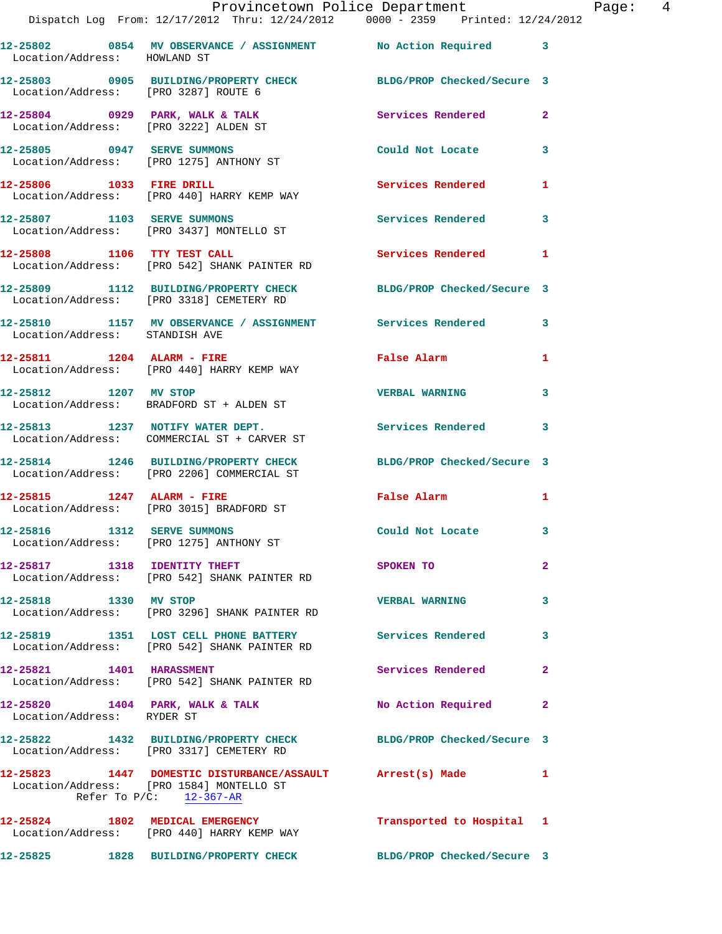|                                | Provincetown Police Department The Rage: 4<br>Dispatch Log From: 12/17/2012 Thru: 12/24/2012 0000 - 2359 Printed: 12/24/2012          |                                                                                                                |                |  |
|--------------------------------|---------------------------------------------------------------------------------------------------------------------------------------|----------------------------------------------------------------------------------------------------------------|----------------|--|
| Location/Address: HOWLAND ST   | 12-25802 0854 MV OBSERVANCE / ASSIGNMENT No Action Required 3                                                                         |                                                                                                                |                |  |
|                                | 12-25803 0905 BUILDING/PROPERTY CHECK BLDG/PROP Checked/Secure 3<br>Location/Address: [PRO 3287] ROUTE 6                              |                                                                                                                |                |  |
|                                | 12-25804 0929 PARK, WALK & TALK Services Rendered Execution Address: [PRO 3222] ALDEN ST                                              |                                                                                                                | $\mathbf{2}$   |  |
|                                | 12-25805 0947 SERVE SUMMONS<br>Location/Address: [PRO 1275] ANTHONY ST                                                                | Could Not Locate                                                                                               | 3              |  |
|                                | 12-25806 1033 FIRE DRILL<br>Location/Address: [PRO 440] HARRY KEMP WAY                                                                | Services Rendered 1                                                                                            |                |  |
|                                | 12-25807 1103 SERVE SUMMONS<br>Location/Address: [PRO 3437] MONTELLO ST                                                               | <b>Services Rendered</b>                                                                                       | 3              |  |
|                                | 12-25808 1106 TTY TEST CALL<br>Location/Address: [PRO 542] SHANK PAINTER RD                                                           | Services Rendered 1                                                                                            |                |  |
|                                | 12-25809 1112 BUILDING/PROPERTY CHECK BLDG/PROP Checked/Secure 3<br>Location/Address: [PRO 3318] CEMETERY RD                          |                                                                                                                |                |  |
| Location/Address: STANDISH AVE | 12-25810 1157 MV OBSERVANCE / ASSIGNMENT Services Rendered 3                                                                          |                                                                                                                |                |  |
|                                | 12-25811 1204 ALARM - FIRE<br>Location/Address: [PRO 440] HARRY KEMP WAY                                                              | False Alarm                                                                                                    | 1              |  |
| 12-25812 1207 MV STOP          | Location/Address: BRADFORD ST + ALDEN ST                                                                                              | <b>VERBAL WARNING</b>                                                                                          | 3              |  |
|                                | 12-25813 1237 NOTIFY WATER DEPT. Services Rendered<br>Location/Address: COMMERCIAL ST + CARVER ST                                     |                                                                                                                | 3              |  |
|                                | 12-25814 1246 BUILDING/PROPERTY CHECK BLDG/PROP Checked/Secure 3<br>Location/Address: [PRO 2206] COMMERCIAL ST                        |                                                                                                                |                |  |
|                                | 12-25815               1247    ALARM - FIRE<br>Location/Address:      [PRO 3015] BRADFORD ST                                          | False Alarm and the state of the state of the state of the state of the state of the state of the state of the | $\mathbf{1}$   |  |
|                                | 12-25816 1312 SERVE SUMMONS<br>Location/Address: [PRO 1275] ANTHONY ST                                                                | Could Not Locate                                                                                               |                |  |
|                                | 12-25817 1318 IDENTITY THEFT<br>Location/Address: [PRO 542] SHANK PAINTER RD                                                          | SPOKEN TO                                                                                                      | $\overline{a}$ |  |
| 12-25818 1330 MV STOP          | Location/Address: [PRO 3296] SHANK PAINTER RD                                                                                         | <b>VERBAL WARNING</b>                                                                                          | 3              |  |
|                                | 12-25819 1351 LOST CELL PHONE BATTERY Services Rendered<br>Location/Address: [PRO 542] SHANK PAINTER RD                               |                                                                                                                | 3              |  |
| 12-25821 1401 HARASSMENT       | Location/Address: [PRO 542] SHANK PAINTER RD                                                                                          | <b>Services Rendered</b>                                                                                       | $\mathbf{2}$   |  |
| Location/Address: RYDER ST     | 12-25820 1404 PARK, WALK & TALK NO Action Required                                                                                    |                                                                                                                | 2              |  |
|                                | 12-25822 1432 BUILDING/PROPERTY CHECK BLDG/PROP Checked/Secure 3<br>Location/Address: [PRO 3317] CEMETERY RD                          |                                                                                                                |                |  |
|                                | 12-25823 1447 DOMESTIC DISTURBANCE/ASSAULT Arrest(s) Made 1<br>Location/Address: [PRO 1584] MONTELLO ST<br>Refer To $P/C$ : 12-367-AR |                                                                                                                |                |  |
|                                | 12-25824 1802 MEDICAL EMERGENCY<br>Location/Address: [PRO 440] HARRY KEMP WAY                                                         | Transported to Hospital 1                                                                                      |                |  |
|                                | 12-25825 1828 BUILDING/PROPERTY CHECK BLDG/PROP Checked/Secure 3                                                                      |                                                                                                                |                |  |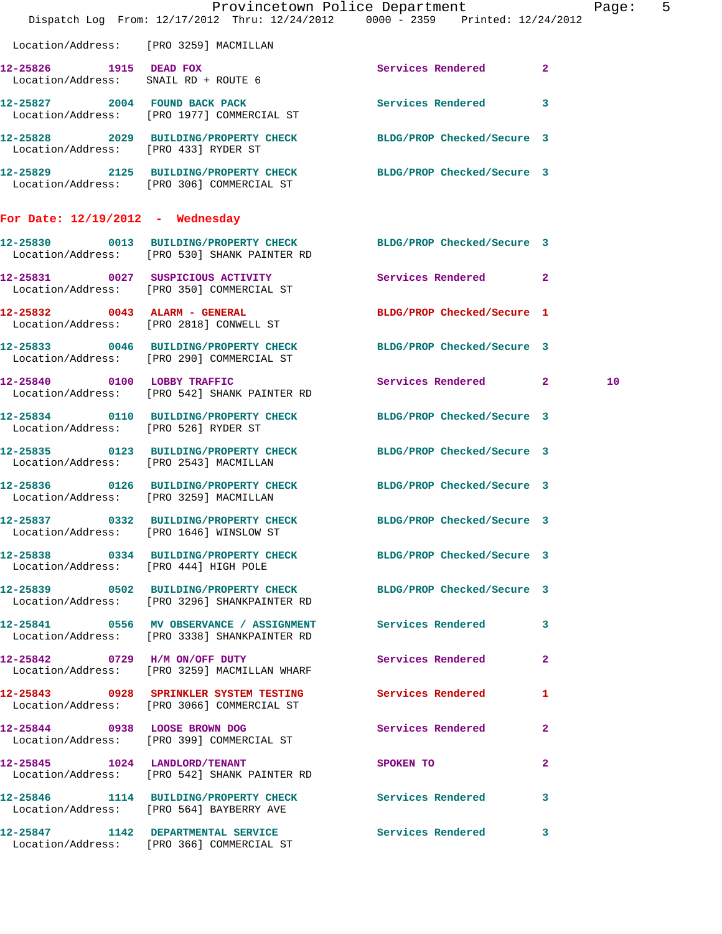|                                        | Dispatch Log From: 12/17/2012 Thru: 12/24/2012 0000 - 2359 Printed: 12/24/2012                                   | Provincetown Police Department                     |              | Page: 5 |  |
|----------------------------------------|------------------------------------------------------------------------------------------------------------------|----------------------------------------------------|--------------|---------|--|
| Location/Address: [PRO 3259] MACMILLAN |                                                                                                                  |                                                    |              |         |  |
| 12-25826 1915 DEAD FOX                 |                                                                                                                  | <b>Services Rendered</b>                           | $\mathbf{2}$ |         |  |
|                                        | 12-25827 2004 FOUND BACK PACK<br>Location/Address: [PRO 1977] COMMERCIAL ST                                      | Services Rendered 3                                |              |         |  |
|                                        | 12-25828 2029 BUILDING/PROPERTY CHECK BLDG/PROP Checked/Secure 3<br>Location/Address: [PRO 433] RYDER ST         |                                                    |              |         |  |
|                                        | 12-25829 2125 BUILDING/PROPERTY CHECK BLDG/PROP Checked/Secure 3<br>Location/Address: [PRO 306] COMMERCIAL ST    |                                                    |              |         |  |
| For Date: $12/19/2012$ - Wednesday     |                                                                                                                  |                                                    |              |         |  |
|                                        | 12-25830 0013 BUILDING/PROPERTY CHECK BLDG/PROP Checked/Secure 3<br>Location/Address: [PRO 530] SHANK PAINTER RD |                                                    |              |         |  |
|                                        | 12-25831 0027 SUSPICIOUS ACTIVITY Services Rendered 2<br>Location/Address: [PRO 350] COMMERCIAL ST               |                                                    |              |         |  |
|                                        | 12-25832 0043 ALARM - GENERAL<br>Location/Address: [PRO 2818] CONWELL ST                                         | BLDG/PROP Checked/Secure 1                         |              |         |  |
|                                        | 12-25833 0046 BUILDING/PROPERTY CHECK BLDG/PROP Checked/Secure 3<br>Location/Address: [PRO 290] COMMERCIAL ST    |                                                    |              |         |  |
|                                        | 12-25840 0100 LOBBY TRAFFIC<br>Location/Address: [PRO 542] SHANK PAINTER RD                                      | Services Rendered 2                                |              | 10      |  |
| Location/Address: [PRO 526] RYDER ST   | 12-25834 0110 BUILDING/PROPERTY CHECK BLDG/PROP Checked/Secure 3                                                 |                                                    |              |         |  |
|                                        | 12-25835 0123 BUILDING/PROPERTY CHECK BLDG/PROP Checked/Secure 3<br>Location/Address: [PRO 2543] MACMILLAN       |                                                    |              |         |  |
| Location/Address: [PRO 3259] MACMILLAN | 12-25836 0126 BUILDING/PROPERTY CHECK BLDG/PROP Checked/Secure 3                                                 |                                                    |              |         |  |
|                                        | 12-25837 0332 BUILDING/PROPERTY CHECK BLDG/PROP Checked/Secure 3<br>Location/Address: [PRO 1646] WINSLOW ST      |                                                    |              |         |  |
|                                        | 12-25838 0334 BUILDING/PROPERTY CHECK BLDG/PROP Checked/Secure 3<br>Location/Address: [PRO 444] HIGH POLE        |                                                    |              |         |  |
|                                        | 12-25839 0502 BUILDING/PROPERTY CHECK BLDG/PROP Checked/Secure 3<br>Location/Address: [PRO 3296] SHANKPAINTER RD |                                                    |              |         |  |
|                                        | 12-25841 0556 MV OBSERVANCE / ASSIGNMENT Services Rendered 3<br>Location/Address: [PRO 3338] SHANKPAINTER RD     |                                                    |              |         |  |
|                                        | 12-25842 0729 H/M ON/OFF DUTY<br>Location/Address: [PRO 3259] MACMILLAN WHARF                                    | Services Rendered                                  | $\mathbf{2}$ |         |  |
|                                        | 12-25843 0928 SPRINKLER SYSTEM TESTING Services Rendered 1<br>Location/Address: [PRO 3066] COMMERCIAL ST         |                                                    |              |         |  |
|                                        | 12-25844 0938 LOOSE BROWN DOG<br>Location/Address: [PRO 399] COMMERCIAL ST                                       | Services Rendered                                  | 2            |         |  |
|                                        | 12-25845 1024 LANDLORD/TENANT<br>Location/Address: [PRO 542] SHANK PAINTER RD                                    | SPOKEN TO AND TO A REAL PROPERTY OF REAL PROPERTY. | $\mathbf{2}$ |         |  |
|                                        | 12-25846 1114 BUILDING/PROPERTY CHECK Services Rendered 3<br>Location/Address: [PRO 564] BAYBERRY AVE            |                                                    |              |         |  |
|                                        | 12-25847 1142 DEPARTMENTAL SERVICE<br>Location/Address: [PRO 366] COMMERCIAL ST                                  | Services Rendered 3                                |              |         |  |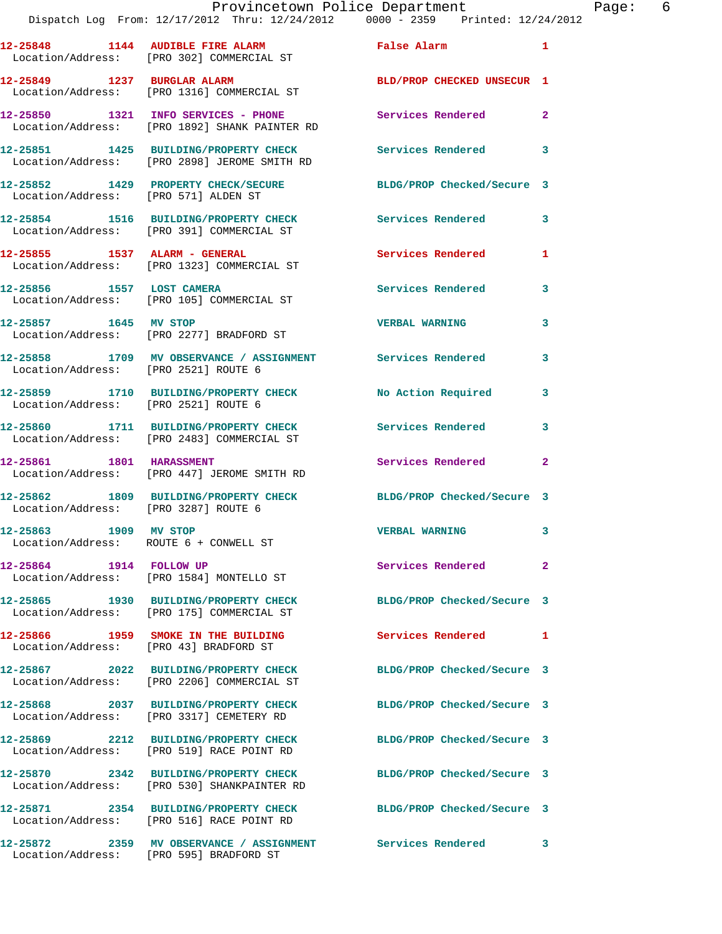| 12-25848 1144 AUDIBLE FIRE ALARM                                | Location/Address: [PRO 302] COMMERCIAL ST                                                             | False Alarm                | $\mathbf{1}$ |
|-----------------------------------------------------------------|-------------------------------------------------------------------------------------------------------|----------------------------|--------------|
| 12-25849 1237 BURGLAR ALARM                                     | Location/Address: [PRO 1316] COMMERCIAL ST                                                            | BLD/PROP CHECKED UNSECUR 1 |              |
|                                                                 | 12-25850 1321 INFO SERVICES - PHONE<br>Location/Address: [PRO 1892] SHANK PAINTER RD                  | <b>Services Rendered</b>   | $\mathbf{2}$ |
|                                                                 | 12-25851 1425 BUILDING/PROPERTY CHECK<br>Location/Address: [PRO 2898] JEROME SMITH RD                 | Services Rendered          | 3            |
| Location/Address: [PRO 571] ALDEN ST                            | 12-25852 1429 PROPERTY CHECK/SECURE                                                                   | BLDG/PROP Checked/Secure 3 |              |
|                                                                 | 12-25854 1516 BUILDING/PROPERTY CHECK<br>Location/Address: [PRO 391] COMMERCIAL ST                    | Services Rendered          | 3            |
|                                                                 | 12-25855 1537 ALARM - GENERAL<br>Location/Address: [PRO 1323] COMMERCIAL ST                           | <b>Services Rendered</b>   | 1            |
| 12-25856 1557 LOST CAMERA                                       | Location/Address: [PRO 105] COMMERCIAL ST                                                             | <b>Services Rendered</b>   | 3            |
| 12-25857 1645 MV STOP                                           | Location/Address: [PRO 2277] BRADFORD ST                                                              | <b>VERBAL WARNING</b>      | 3            |
| Location/Address: [PRO 2521] ROUTE 6                            | 12-25858 1709 MV OBSERVANCE / ASSIGNMENT                                                              | Services Rendered          | 3            |
| Location/Address: [PRO 2521] ROUTE 6                            | 12-25859 1710 BUILDING/PROPERTY CHECK                                                                 | No Action Required         | 3            |
|                                                                 | 12-25860 1711 BUILDING/PROPERTY CHECK<br>Location/Address: [PRO 2483] COMMERCIAL ST                   | Services Rendered          | 3            |
| 12-25861 1801 HARASSMENT                                        | Location/Address: [PRO 447] JEROME SMITH RD                                                           | Services Rendered          | $\mathbf{2}$ |
| Location/Address: [PRO 3287] ROUTE 6                            | 12-25862 1809 BUILDING/PROPERTY CHECK                                                                 | BLDG/PROP Checked/Secure 3 |              |
| 12-25863 1909 MV STOP<br>Location/Address: ROUTE 6 + CONWELL ST |                                                                                                       | <b>VERBAL WARNING</b>      | 3            |
| 12-25864 1914 FOLLOW UP                                         | Location/Address: [PRO 1584] MONTELLO ST                                                              | <b>Services Rendered</b>   |              |
|                                                                 | 12-25865 1930 BUILDING/PROPERTY CHECK<br>Location/Address: [PRO 175] COMMERCIAL ST                    | BLDG/PROP Checked/Secure 3 |              |
| Location/Address: [PRO 43] BRADFORD ST                          | 12-25866 1959 SMOKE IN THE BUILDING                                                                   | Services Rendered 1        |              |
|                                                                 | 12-25867 2022 BUILDING/PROPERTY CHECK<br>Location/Address: [PRO 2206] COMMERCIAL ST                   | BLDG/PROP Checked/Secure 3 |              |
|                                                                 | 12-25868 2037 BUILDING/PROPERTY CHECK<br>Location/Address: [PRO 3317] CEMETERY RD                     | BLDG/PROP Checked/Secure 3 |              |
|                                                                 | 12-25869 2212 BUILDING/PROPERTY CHECK<br>Location/Address: [PRO 519] RACE POINT RD                    | BLDG/PROP Checked/Secure 3 |              |
|                                                                 | 12-25870 2342 BUILDING/PROPERTY CHECK<br>Location/Address: [PRO 530] SHANKPAINTER RD                  | BLDG/PROP Checked/Secure 3 |              |
|                                                                 | Location/Address: [PRO 516] RACE POINT RD                                                             | BLDG/PROP Checked/Secure 3 |              |
|                                                                 | 12-25872 2359 MV OBSERVANCE / ASSIGNMENT Services Rendered<br>Location/Address: [PRO 595] BRADFORD ST |                            | 3            |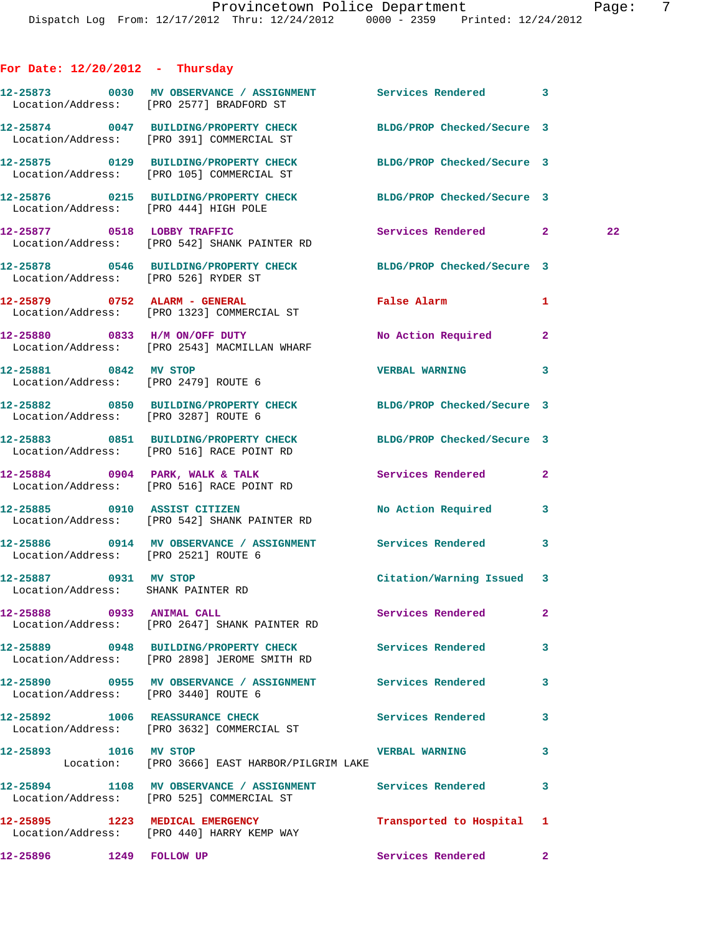## **For Date: 12/20/2012 - Thursday**

|  | 12-25873 0030 MV OBSERVANCE / ASSIGNMENT Services Rendered 3<br>Location/Address: [PRO 2577] BRADFORD ST      |                           |              |    |
|--|---------------------------------------------------------------------------------------------------------------|---------------------------|--------------|----|
|  | 12-25874 0047 BUILDING/PROPERTY CHECK BLDG/PROP Checked/Secure 3<br>Location/Address: [PRO 391] COMMERCIAL ST |                           |              |    |
|  | 12-25875 0129 BUILDING/PROPERTY CHECK BLDG/PROP Checked/Secure 3<br>Location/Address: [PRO 105] COMMERCIAL ST |                           |              |    |
|  | 12-25876 0215 BUILDING/PROPERTY CHECK BLDG/PROP Checked/Secure 3<br>Location/Address: [PRO 444] HIGH POLE     |                           |              |    |
|  | 12-25877 0518 LOBBY TRAFFIC<br>Location/Address: [PRO 542] SHANK PAINTER RD                                   | Services Rendered 2       |              | 22 |
|  | 12-25878 0546 BUILDING/PROPERTY CHECK BLDG/PROP Checked/Secure 3<br>Location/Address: [PRO 526] RYDER ST      |                           |              |    |
|  | 12-25879 0752 ALARM - GENERAL<br>Location/Address: [PRO 1323] COMMERCIAL ST                                   | <b>False Alarm</b>        | 1            |    |
|  | 12-25880 0833 H/M ON/OFF DUTY<br>Location/Address: [PRO 2543] MACMILLAN WHARF                                 | No Action Required        | $\mathbf{2}$ |    |
|  | 12-25881 0842 MV STOP<br>Location/Address: [PRO 2479] ROUTE 6                                                 | <b>VERBAL WARNING</b>     | 3            |    |
|  | 12-25882 0850 BUILDING/PROPERTY CHECK BLDG/PROP Checked/Secure 3<br>Location/Address: [PRO 3287] ROUTE 6      |                           |              |    |
|  | 12-25883 0851 BUILDING/PROPERTY CHECK BLDG/PROP Checked/Secure 3<br>Location/Address: [PRO 516] RACE POINT RD |                           |              |    |
|  | 12-25884 0904 PARK, WALK & TALK<br>Location/Address: [PRO 516] RACE POINT RD                                  | Services Rendered         | $\mathbf{2}$ |    |
|  | 12-25885 0910 ASSIST CITIZEN<br>Location/Address: [PRO 542] SHANK PAINTER RD                                  | No Action Required        | 3            |    |
|  | 12-25886 0914 MV OBSERVANCE / ASSIGNMENT Services Rendered 3<br>Location/Address: [PRO 2521] ROUTE 6          |                           |              |    |
|  | 12-25887 0931 MV STOP<br>Location/Address: SHANK PAINTER RD                                                   | Citation/Warning Issued 3 |              |    |
|  | 12-25888 0933 ANIMAL CALL<br>Location/Address: [PRO 2647] SHANK PAINTER RD                                    | Services Rendered 2       |              |    |
|  | 12-25889 0948 BUILDING/PROPERTY CHECK Services Rendered<br>Location/Address: [PRO 2898] JEROME SMITH RD       |                           | 3            |    |
|  | 12-25890 0955 MV OBSERVANCE / ASSIGNMENT Services Rendered<br>Location/Address: [PRO 3440] ROUTE 6            |                           | 3            |    |
|  | 12-25892 1006 REASSURANCE CHECK<br>Location/Address: [PRO 3632] COMMERCIAL ST                                 | Services Rendered         | 3            |    |
|  | 12-25893 1016 MV STOP<br>Location: [PRO 3666] EAST HARBOR/PILGRIM LAKE                                        | <b>VERBAL WARNING</b>     | 3            |    |
|  | 12-25894 1108 MV OBSERVANCE / ASSIGNMENT Services Rendered<br>Location/Address: [PRO 525] COMMERCIAL ST       |                           | 3            |    |
|  | 12-25895 1223 MEDICAL EMERGENCY<br>Location/Address: [PRO 440] HARRY KEMP WAY                                 | Transported to Hospital 1 |              |    |
|  | 12-25896 1249 FOLLOW UP                                                                                       | Services Rendered         | $\mathbf{2}$ |    |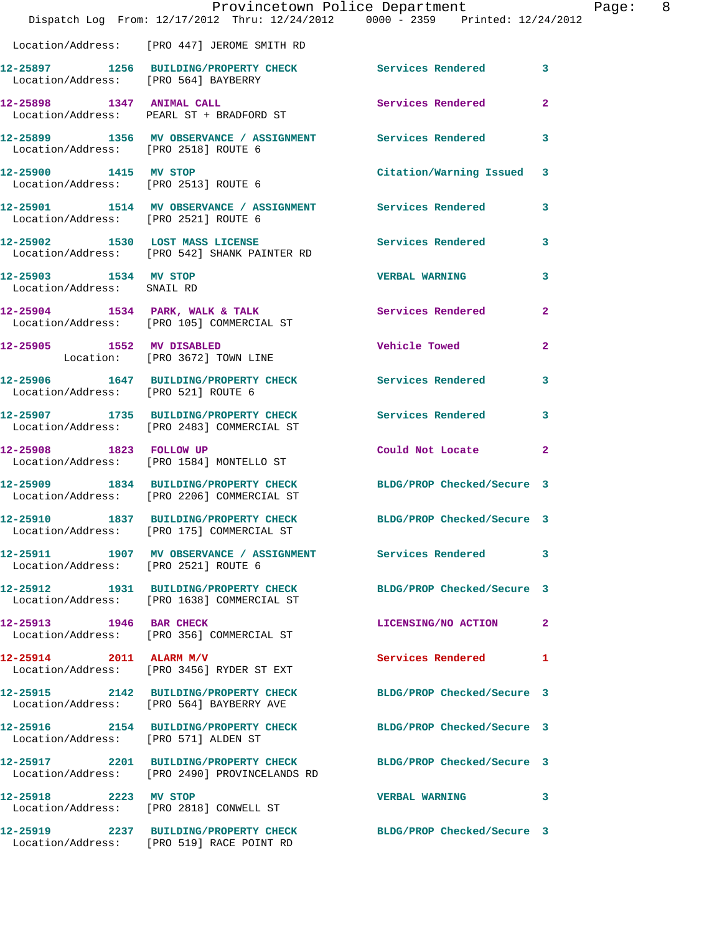|                                                     | Dispatch Log From: 12/17/2012 Thru: 12/24/2012 0000 - 2359 Printed: 12/24/2012                                    | Provincetown Police Department |                         | Page: 8 |  |
|-----------------------------------------------------|-------------------------------------------------------------------------------------------------------------------|--------------------------------|-------------------------|---------|--|
|                                                     | Location/Address: [PRO 447] JEROME SMITH RD                                                                       |                                |                         |         |  |
|                                                     | 12-25897 1256 BUILDING/PROPERTY CHECK Services Rendered 3<br>Location/Address: [PRO 564] BAYBERRY                 |                                |                         |         |  |
|                                                     | 12-25898 1347 ANIMAL CALL<br>Location/Address: PEARL ST + BRADFORD ST                                             | Services Rendered              | $\overline{2}$          |         |  |
| Location/Address: [PRO 2518] ROUTE 6                | 12-25899 1356 MV OBSERVANCE / ASSIGNMENT Services Rendered 3                                                      |                                |                         |         |  |
|                                                     | 12-25900 1415 MV STOP<br>Location/Address: [PRO 2513] ROUTE 6                                                     | Citation/Warning Issued 3      |                         |         |  |
| Location/Address: [PRO 2521] ROUTE 6                | 12-25901 1514 MV OBSERVANCE / ASSIGNMENT Services Rendered 3                                                      |                                |                         |         |  |
|                                                     | 12-25902 1530 LOST MASS LICENSE Services Rendered<br>Location/Address: [PRO 542] SHANK PAINTER RD                 |                                | $\overline{\mathbf{3}}$ |         |  |
| 12-25903 1534 MV STOP<br>Location/Address: SNAIL RD |                                                                                                                   | <b>VERBAL WARNING</b>          | $\mathbf{3}$            |         |  |
|                                                     | 12-25904 1534 PARK, WALK & TALK Services Rendered Election (Address: [PRO 105] COMMERCIAL ST                      |                                | $\mathbf{2}$            |         |  |
|                                                     | 12-25905 1552 MV DISABLED<br>Location: [PRO 3672] TOWN LINE                                                       | <b>Vehicle Towed</b>           | $\mathbf{2}$            |         |  |
| Location/Address: [PRO 521] ROUTE 6                 | 12-25906 1647 BUILDING/PROPERTY CHECK Services Rendered                                                           |                                | $\mathbf{3}$            |         |  |
|                                                     | 12-25907 1735 BUILDING/PROPERTY CHECK Services Rendered<br>Location/Address: [PRO 2483] COMMERCIAL ST             |                                | $\overline{\mathbf{3}}$ |         |  |
|                                                     | 12-25908 1823 FOLLOW UP<br>Location/Address: [PRO 1584] MONTELLO ST                                               | Could Not Locate 2             |                         |         |  |
|                                                     | 12-25909 1834 BUILDING/PROPERTY CHECK BLDG/PROP Checked/Secure 3<br>Location/Address: [PRO 2206] COMMERCIAL ST    |                                |                         |         |  |
|                                                     | 12-25910 1837 BUILDING/PROPERTY CHECK BLDG/PROP Checked/Secure 3<br>Location/Address: [PRO 175] COMMERCIAL ST     |                                |                         |         |  |
| Location/Address: [PRO 2521] ROUTE 6                | 12-25911 1907 MV OBSERVANCE / ASSIGNMENT Services Rendered 3                                                      |                                |                         |         |  |
|                                                     | 12-25912 1931 BUILDING/PROPERTY CHECK BLDG/PROP Checked/Secure 3<br>Location/Address: [PRO 1638] COMMERCIAL ST    |                                |                         |         |  |
| 12-25913 1946 BAR CHECK                             | Location/Address: [PRO 356] COMMERCIAL ST                                                                         | LICENSING/NO ACTION 2          |                         |         |  |
|                                                     | $12 - 25914$ 2011 ALARM M/V<br>Location/Address: [PRO 3456] RYDER ST EXT                                          | Services Rendered 1            |                         |         |  |
|                                                     | 12-25915 2142 BUILDING/PROPERTY CHECK BLDG/PROP Checked/Secure 3<br>Location/Address: [PRO 564] BAYBERRY AVE      |                                |                         |         |  |
| Location/Address: [PRO 571] ALDEN ST                | 12-25916 2154 BUILDING/PROPERTY CHECK BLDG/PROP Checked/Secure 3                                                  |                                |                         |         |  |
|                                                     | 12-25917 2201 BUILDING/PROPERTY CHECK BLDG/PROP Checked/Secure 3<br>Location/Address: [PRO 2490] PROVINCELANDS RD |                                |                         |         |  |
| 12-25918 2223 MV STOP                               | Location/Address: [PRO 2818] CONWELL ST                                                                           | VERBAL WARNING 3               |                         |         |  |
|                                                     | 12-25919 2237 BUILDING/PROPERTY CHECK BLDG/PROP Checked/Secure 3<br>Location/Address: [PRO 519] RACE POINT RD     |                                |                         |         |  |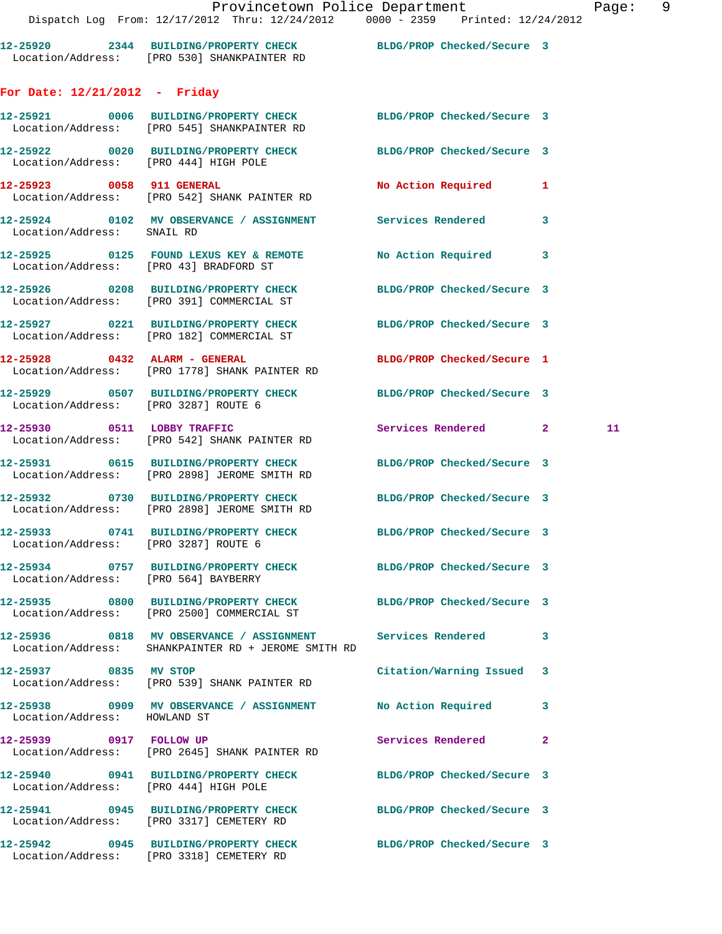| 12-25920          | 2344 | BUILDING/PROPERTY CHECK   | BLDG/PROP Checked/Secure 3 |  |
|-------------------|------|---------------------------|----------------------------|--|
| Location/Address: |      | [PRO 530] SHANKPAINTER RD |                            |  |

## **For Date: 12/21/2012 - Friday**

|                                       | 12-25921 0006 BUILDING/PROPERTY CHECK<br>Location/Address: [PRO 545] SHANKPAINTER RD                                | BLDG/PROP Checked/Secure 3 |   |    |
|---------------------------------------|---------------------------------------------------------------------------------------------------------------------|----------------------------|---|----|
|                                       | 12-25922 0020 BUILDING/PROPERTY CHECK BLDG/PROP Checked/Secure 3<br>Location/Address: [PRO 444] HIGH POLE           |                            |   |    |
|                                       | 12-25923 0058 911 GENERAL<br>Location/Address: [PRO 542] SHANK PAINTER RD                                           | No Action Required 1       |   |    |
| Location/Address: SNAIL RD            | 12-25924 0102 MV OBSERVANCE / ASSIGNMENT Services Rendered                                                          |                            | 3 |    |
|                                       | 12-25925 0125 FOUND LEXUS KEY & REMOTE No Action Required 3<br>Location/Address: [PRO 43] BRADFORD ST               |                            |   |    |
|                                       | 12-25926 0208 BUILDING/PROPERTY CHECK<br>Location/Address: [PRO 391] COMMERCIAL ST                                  | BLDG/PROP Checked/Secure 3 |   |    |
|                                       | 12-25927 0221 BUILDING/PROPERTY CHECK BLDG/PROP Checked/Secure 3<br>Location/Address: [PRO 182] COMMERCIAL ST       |                            |   |    |
|                                       | 12-25928 0432 ALARM - GENERAL<br>Location/Address: [PRO 1778] SHANK PAINTER RD                                      | BLDG/PROP Checked/Secure 1 |   |    |
| Location/Address: [PRO 3287] ROUTE 6  | 12-25929 0507 BUILDING/PROPERTY CHECK BLDG/PROP Checked/Secure 3                                                    |                            |   |    |
|                                       | 12-25930 0511 LOBBY TRAFFIC<br>Location/Address: [PRO 542] SHANK PAINTER RD                                         | Services Rendered 2        |   | 11 |
|                                       | 12-25931 0615 BUILDING/PROPERTY CHECK BLDG/PROP Checked/Secure 3<br>Location/Address: [PRO 2898] JEROME SMITH RD    |                            |   |    |
|                                       | 12-25932 0730 BUILDING/PROPERTY CHECK BLDG/PROP Checked/Secure 3<br>Location/Address: [PRO 2898] JEROME SMITH RD    |                            |   |    |
| Location/Address: [PRO 3287] ROUTE 6  | 12-25933 0741 BUILDING/PROPERTY CHECK BLDG/PROP Checked/Secure 3                                                    |                            |   |    |
| Location/Address: [PRO 564] BAYBERRY  | 12-25934 0757 BUILDING/PROPERTY CHECK BLDG/PROP Checked/Secure 3                                                    |                            |   |    |
|                                       | 12-25935 0800 BUILDING/PROPERTY CHECK BLDG/PROP Checked/Secure 3<br>Location/Address: [PRO 2500] COMMERCIAL ST      |                            |   |    |
|                                       | 12-25936 0818 MV OBSERVANCE / ASSIGNMENT Services Rendered 3<br>Location/Address: SHANKPAINTER RD + JEROME SMITH RD |                            |   |    |
| 12-25937 0835 MV STOP                 | Location/Address: [PRO 539] SHANK PAINTER RD                                                                        | Citation/Warning Issued    | 3 |    |
| Location/Address: HOWLAND ST          | 12-25938 0909 MV OBSERVANCE / ASSIGNMENT No Action Required                                                         |                            | 3 |    |
| 12-25939 0917 FOLLOW UP               | Location/Address: [PRO 2645] SHANK PAINTER RD                                                                       | Services Rendered          | 2 |    |
| Location/Address: [PRO 444] HIGH POLE | 12-25940 0941 BUILDING/PROPERTY CHECK                                                                               | BLDG/PROP Checked/Secure 3 |   |    |
|                                       | 12-25941 0945 BUILDING/PROPERTY CHECK<br>Location/Address: [PRO 3317] CEMETERY RD                                   | BLDG/PROP Checked/Secure 3 |   |    |
|                                       | 12-25942 0945 BUILDING/PROPERTY CHECK<br>Location/Address: [PRO 3318] CEMETERY RD                                   | BLDG/PROP Checked/Secure 3 |   |    |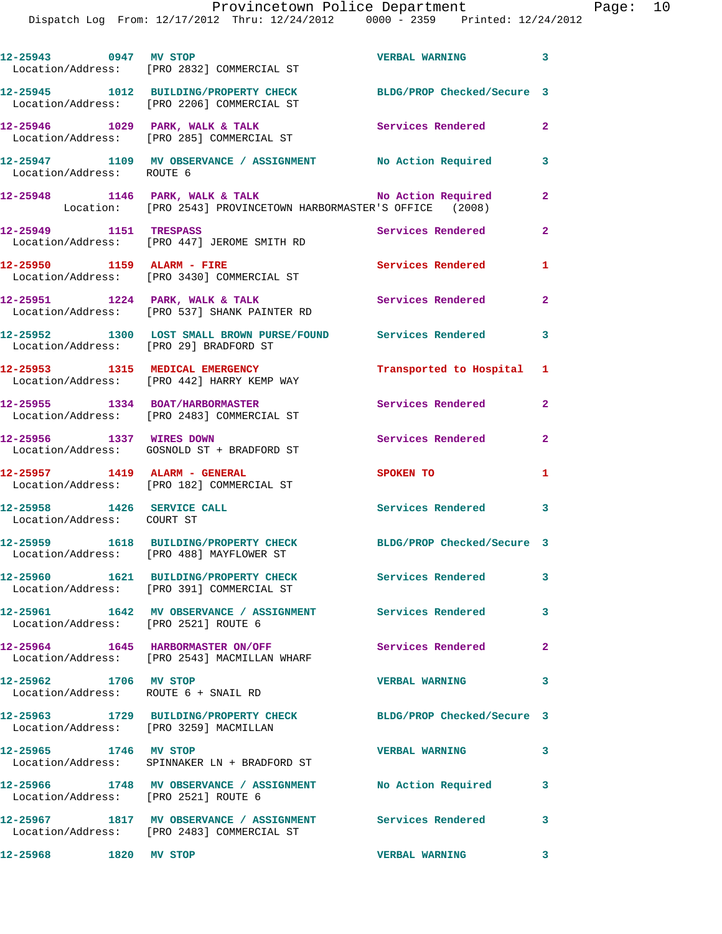| 12-25943 0947 MV STOP      | Location/Address: [PRO 2832] COMMERCIAL ST                                                               | <b>VERBAL WARNING</b>      | 3                        |
|----------------------------|----------------------------------------------------------------------------------------------------------|----------------------------|--------------------------|
|                            | 12-25945 1012 BUILDING/PROPERTY CHECK<br>Location/Address: [PRO 2206] COMMERCIAL ST                      | BLDG/PROP Checked/Secure 3 |                          |
|                            | $12-25946$ 1029 PARK, WALK & TALK<br>Location/Address: [PRO 285] COMMERCIAL ST                           | <b>Services Rendered</b>   | $\mathbf{2}$             |
| Location/Address: ROUTE 6  | 12-25947 1109 MV OBSERVANCE / ASSIGNMENT No Action Required                                              |                            | 3                        |
|                            | 12-25948 1146 PARK, WALK & TALK MONASTER'S OFFICE (2008)                                                 |                            | $\overline{2}$           |
| 12-25949 1151 TRESPASS     | Location/Address: [PRO 447] JEROME SMITH RD                                                              | Services Rendered          | $\mathbf{2}$             |
|                            | 12-25950 1159 ALARM - FIRE<br>Location/Address: [PRO 3430] COMMERCIAL ST                                 | Services Rendered          | $\mathbf{1}$             |
|                            | $12-25951$ 1224 PARK, WALK & TALK<br>Location/Address: [PRO 537] SHANK PAINTER RD                        | <b>Services Rendered</b>   | $\mathbf{2}$             |
|                            | 12-25952 1300 LOST SMALL BROWN PURSE/FOUND Services Rendered<br>Location/Address: [PRO 29] BRADFORD ST   |                            | $\overline{\phantom{a}}$ |
|                            | 12-25953 1315 MEDICAL EMERGENCY<br>Location/Address: [PRO 442] HARRY KEMP WAY                            | Transported to Hospital 1  |                          |
|                            | 12-25955 1334 BOAT/HARBORMASTER<br>Location/Address: [PRO 2483] COMMERCIAL ST                            | Services Rendered          | $\overline{2}$           |
|                            | 12-25956 1337 WIRES DOWN<br>Location/Address: GOSNOLD ST + BRADFORD ST                                   | Services Rendered          | $\mathbf{2}$             |
|                            | 12-25957 1419 ALARM - GENERAL<br>Location/Address: [PRO 182] COMMERCIAL ST                               | SPOKEN TO                  | $\mathbf{1}$             |
| Location/Address: COURT ST | 12-25958 1426 SERVICE CALL                                                                               | Services Rendered          | $\overline{\mathbf{3}}$  |
|                            | 12-25959 1618 BUILDING/PROPERTY CHECK<br>Location/Address: [PRO 488] MAYFLOWER ST                        | BLDG/PROP Checked/Secure 3 |                          |
|                            | 12-25960 1621 BUILDING/PROPERTY CHECK<br>Location/Address: [PRO 391] COMMERCIAL ST                       | <b>Services Rendered</b>   | $\mathbf{3}$             |
|                            | 12-25961 1642 MV OBSERVANCE / ASSIGNMENT Services Rendered<br>Location/Address: [PRO 2521] ROUTE 6       |                            | 3                        |
|                            | 12-25964 1645 HARBORMASTER ON/OFF<br>Location/Address: [PRO 2543] MACMILLAN WHARF                        | Services Rendered          | $\mathbf{2}$             |
| 12-25962 1706 MV STOP      | Location/Address: ROUTE 6 + SNAIL RD                                                                     | <b>VERBAL WARNING</b>      | 3                        |
|                            | 12-25963 1729 BUILDING/PROPERTY CHECK<br>Location/Address: [PRO 3259] MACMILLAN                          | BLDG/PROP Checked/Secure 3 |                          |
| 12-25965 1746 MV STOP      | Location/Address: SPINNAKER LN + BRADFORD ST                                                             | <b>VERBAL WARNING</b>      | 3                        |
|                            | 12-25966 1748 MV OBSERVANCE / ASSIGNMENT No Action Required<br>Location/Address: [PRO 2521] ROUTE 6      |                            | 3                        |
|                            | 12-25967 1817 MV OBSERVANCE / ASSIGNMENT Services Rendered<br>Location/Address: [PRO 2483] COMMERCIAL ST |                            | 3                        |
| 12-25968 1820 MV STOP      |                                                                                                          | <b>VERBAL WARNING</b>      | 3                        |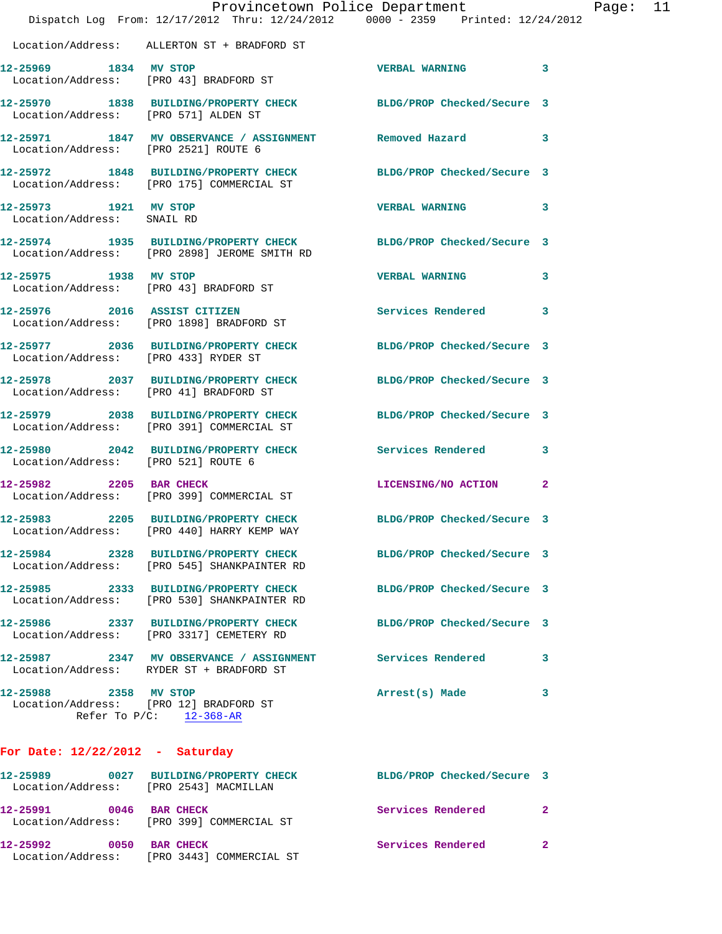|                                                     | Dispatch Log From: 12/17/2012 Thru: 12/24/2012 0000 - 2359 Printed: 12/24/2012                                   | Provincetown Police Department |              | Page: 11 |  |
|-----------------------------------------------------|------------------------------------------------------------------------------------------------------------------|--------------------------------|--------------|----------|--|
|                                                     | Location/Address: ALLERTON ST + BRADFORD ST                                                                      |                                |              |          |  |
| 12-25969 1834 MV STOP                               | Location/Address: [PRO 43] BRADFORD ST                                                                           | VERBAL WARNING 3               |              |          |  |
| Location/Address: [PRO 571] ALDEN ST                | 12-25970 1838 BUILDING/PROPERTY CHECK BLDG/PROP Checked/Secure 3                                                 |                                |              |          |  |
| Location/Address: [PRO 2521] ROUTE 6                | 12-25971 1847 MV OBSERVANCE / ASSIGNMENT Removed Hazard 3                                                        |                                |              |          |  |
|                                                     | 12-25972 1848 BUILDING/PROPERTY CHECK BLDG/PROP Checked/Secure 3<br>Location/Address: [PRO 175] COMMERCIAL ST    |                                |              |          |  |
| 12-25973 1921 MV STOP<br>Location/Address: SNAIL RD |                                                                                                                  | VERBAL WARNING 3               |              |          |  |
|                                                     | 12-25974 1935 BUILDING/PROPERTY CHECK BLDG/PROP Checked/Secure 3<br>Location/Address: [PRO 2898] JEROME SMITH RD |                                |              |          |  |
| 12-25975 1938 MV STOP                               | Location/Address: [PRO 43] BRADFORD ST                                                                           | VERBAL WARNING 3               |              |          |  |
|                                                     | 12-25976 2016 ASSIST CITIZEN<br>Location/Address: [PRO 1898] BRADFORD ST                                         | Services Rendered 3            |              |          |  |
| Location/Address: [PRO 433] RYDER ST                | 12-25977 2036 BUILDING/PROPERTY CHECK BLDG/PROP Checked/Secure 3                                                 |                                |              |          |  |
|                                                     | 12-25978 2037 BUILDING/PROPERTY CHECK<br>Location/Address: [PRO 41] BRADFORD ST                                  | BLDG/PROP Checked/Secure 3     |              |          |  |
|                                                     | 12-25979 2038 BUILDING/PROPERTY CHECK<br>Location/Address: [PRO 391] COMMERCIAL ST                               | BLDG/PROP Checked/Secure 3     |              |          |  |
| Location/Address: [PRO 521] ROUTE 6                 | 12-25980 2042 BUILDING/PROPERTY CHECK Services Rendered 3                                                        |                                |              |          |  |
| 12-25982 2205 BAR CHECK                             | Location/Address: [PRO 399] COMMERCIAL ST                                                                        | LICENSING/NO ACTION            | $\mathbf{2}$ |          |  |
|                                                     | 12-25983 2205 BUILDING/PROPERTY CHECK BLDG/PROP Checked/Secure 3<br>Location/Address: [PRO 440] HARRY KEMP WAY   |                                |              |          |  |
|                                                     | 12-25984 2328 BUILDING/PROPERTY CHECK BLDG/PROP Checked/Secure 3<br>Location/Address: [PRO 545] SHANKPAINTER RD  |                                |              |          |  |
|                                                     | 12-25985 2333 BUILDING/PROPERTY CHECK<br>Location/Address: [PRO 530] SHANKPAINTER RD                             | BLDG/PROP Checked/Secure 3     |              |          |  |
|                                                     | 12-25986 2337 BUILDING/PROPERTY CHECK<br>Location/Address: [PRO 3317] CEMETERY RD                                | BLDG/PROP Checked/Secure 3     |              |          |  |
|                                                     | 12-25987 2347 MV OBSERVANCE / ASSIGNMENT Services Rendered<br>Location/Address: RYDER ST + BRADFORD ST           |                                | 3            |          |  |
| 12-25988 2358 MV STOP                               | Location/Address: [PRO 12] BRADFORD ST<br>Refer To $P/C$ : 12-368-AR                                             | Arrest(s) Made                 | 3            |          |  |
| For Date: $12/22/2012$ - Saturday                   |                                                                                                                  |                                |              |          |  |
|                                                     | 12-25989 0027 BUILDING/PROPERTY CHECK BLDG/PROP Checked/Secure 3<br>Location/Address: [PRO 2543] MACMILLAN       |                                |              |          |  |
| 12-25991 0046 BAR CHECK                             | Location/Address: [PRO 399] COMMERCIAL ST                                                                        | Services Rendered              | 2            |          |  |
| 12-25992 0050 BAR CHECK                             |                                                                                                                  | Services Rendered              | $\mathbf{2}$ |          |  |

Location/Address: [PRO 3443] COMMERCIAL ST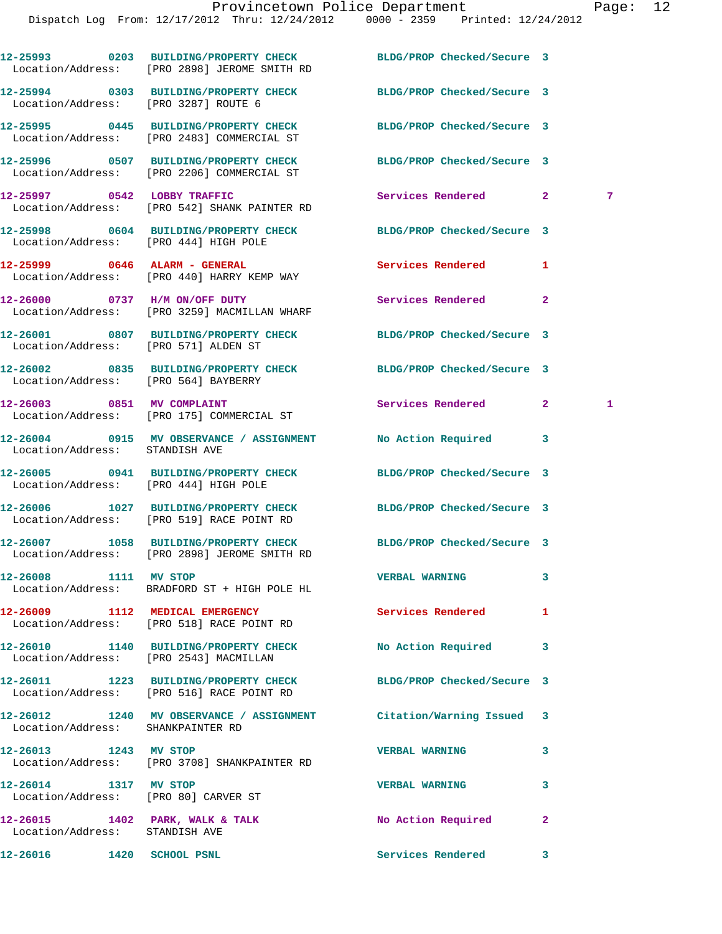|                                                               | 12-25993 0203 BUILDING/PROPERTY CHECK<br>Location/Address: [PRO 2898] JEROME SMITH RD | BLDG/PROP Checked/Secure 3 |              |   |
|---------------------------------------------------------------|---------------------------------------------------------------------------------------|----------------------------|--------------|---|
| Location/Address: [PRO 3287] ROUTE 6                          | 12-25994 0303 BUILDING/PROPERTY CHECK                                                 | BLDG/PROP Checked/Secure 3 |              |   |
|                                                               | 12-25995 0445 BUILDING/PROPERTY CHECK<br>Location/Address: [PRO 2483] COMMERCIAL ST   | BLDG/PROP Checked/Secure 3 |              |   |
|                                                               | 12-25996 0507 BUILDING/PROPERTY CHECK<br>Location/Address: [PRO 2206] COMMERCIAL ST   | BLDG/PROP Checked/Secure 3 |              |   |
|                                                               | 12-25997 0542 LOBBY TRAFFIC<br>Location/Address: [PRO 542] SHANK PAINTER RD           | Services Rendered          | $\mathbf{2}$ | 7 |
| Location/Address: [PRO 444] HIGH POLE                         | 12-25998 0604 BUILDING/PROPERTY CHECK                                                 | BLDG/PROP Checked/Secure 3 |              |   |
|                                                               | 12-25999 0646 ALARM - GENERAL<br>Location/Address: [PRO 440] HARRY KEMP WAY           | Services Rendered          | 1            |   |
|                                                               | 12-26000 0737 H/M ON/OFF DUTY<br>Location/Address: [PRO 3259] MACMILLAN WHARF         | Services Rendered          | $\mathbf{2}$ |   |
| Location/Address: [PRO 571] ALDEN ST                          | 12-26001 0807 BUILDING/PROPERTY CHECK                                                 | BLDG/PROP Checked/Secure 3 |              |   |
| Location/Address: [PRO 564] BAYBERRY                          | 12-26002 0835 BUILDING/PROPERTY CHECK                                                 | BLDG/PROP Checked/Secure 3 |              |   |
|                                                               | 12-26003 0851 MV COMPLAINT<br>Location/Address: [PRO 175] COMMERCIAL ST               | Services Rendered          | $\mathbf{2}$ | 1 |
| Location/Address: STANDISH AVE                                | 12-26004 0915 MV OBSERVANCE / ASSIGNMENT No Action Required                           |                            | 3            |   |
| Location/Address: [PRO 444] HIGH POLE                         | 12-26005 0941 BUILDING/PROPERTY CHECK                                                 | BLDG/PROP Checked/Secure 3 |              |   |
|                                                               | 12-26006 1027 BUILDING/PROPERTY CHECK<br>Location/Address: [PRO 519] RACE POINT RD    | BLDG/PROP Checked/Secure 3 |              |   |
|                                                               | 12-26007 1058 BUILDING/PROPERTY CHECK<br>Location/Address: [PRO 2898] JEROME SMITH RD | BLDG/PROP Checked/Secure 3 |              |   |
| 12-26008 1111                                                 | <b>MV STOP</b><br>Location/Address: BRADFORD ST + HIGH POLE HL                        | <b>VERBAL WARNING</b>      | 3            |   |
|                                                               | 12-26009 1112 MEDICAL EMERGENCY<br>Location/Address: [PRO 518] RACE POINT RD          | Services Rendered          | 1            |   |
|                                                               | 12-26010 1140 BUILDING/PROPERTY CHECK<br>Location/Address: [PRO 2543] MACMILLAN       | <b>No Action Required</b>  | 3            |   |
|                                                               | 12-26011 1223 BUILDING/PROPERTY CHECK<br>Location/Address: [PRO 516] RACE POINT RD    | BLDG/PROP Checked/Secure 3 |              |   |
| Location/Address: SHANKPAINTER RD                             | 12-26012 1240 MV OBSERVANCE / ASSIGNMENT                                              | Citation/Warning Issued    | 3            |   |
| 12-26013 1243 MV STOP                                         | Location/Address: [PRO 3708] SHANKPAINTER RD                                          | <b>VERBAL WARNING</b>      | 3            |   |
| 12-26014 1317 MV STOP<br>Location/Address: [PRO 80] CARVER ST |                                                                                       | <b>VERBAL WARNING</b>      | 3            |   |
| Location/Address: STANDISH AVE                                | 12-26015 1402 PARK, WALK & TALK                                                       | No Action Required         | $\mathbf{2}$ |   |
|                                                               |                                                                                       |                            |              |   |

**12-26016 1420 SCHOOL PSNL Services Rendered 3**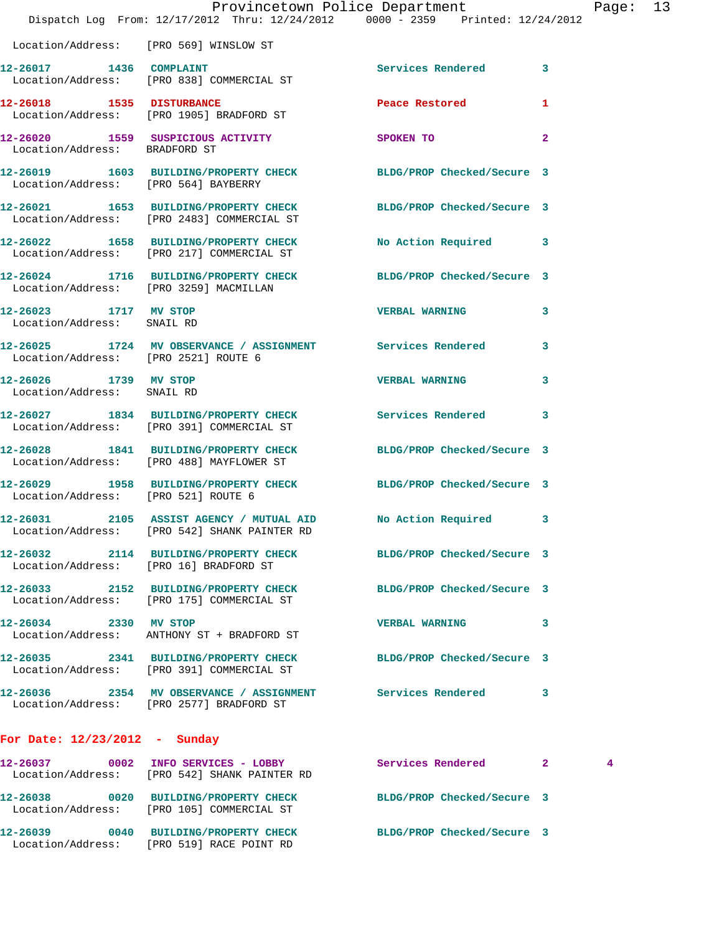|                                                     | Dispatch Log From: 12/17/2012 Thru: 12/24/2012 0000 - 2359 Printed: 12/24/2012                                 | Provincetown Police Department |                | Page: | 13 |
|-----------------------------------------------------|----------------------------------------------------------------------------------------------------------------|--------------------------------|----------------|-------|----|
|                                                     | Location/Address: [PRO 569] WINSLOW ST                                                                         |                                |                |       |    |
|                                                     | 12-26017 1436 COMPLAINT<br>Location/Address: [PRO 838] COMMERCIAL ST                                           | <b>Services Rendered</b>       | $\mathbf{3}$   |       |    |
|                                                     | 12-26018 1535 DISTURBANCE<br>Location/Address: [PRO 1905] BRADFORD ST                                          | Peace Restored <b>Seaps</b>    | 1              |       |    |
| Location/Address: BRADFORD ST                       | 12-26020 1559 SUSPICIOUS ACTIVITY                                                                              | SPOKEN TO                      | $\overline{2}$ |       |    |
| Location/Address: [PRO 564] BAYBERRY                | 12-26019 1603 BUILDING/PROPERTY CHECK BLDG/PROP Checked/Secure 3                                               |                                |                |       |    |
|                                                     | 12-26021 1653 BUILDING/PROPERTY CHECK BLDG/PROP Checked/Secure 3<br>Location/Address: [PRO 2483] COMMERCIAL ST |                                |                |       |    |
|                                                     | 12-26022 1658 BUILDING/PROPERTY CHECK<br>Location/Address: [PRO 217] COMMERCIAL ST                             | No Action Required 3           |                |       |    |
| Location/Address: [PRO 3259] MACMILLAN              | 12-26024 1716 BUILDING/PROPERTY CHECK BLDG/PROP Checked/Secure 3                                               |                                |                |       |    |
| 12-26023 1717 MV STOP<br>Location/Address: SNAIL RD |                                                                                                                | <b>VERBAL WARNING</b>          | 3              |       |    |
| Location/Address: [PRO 2521] ROUTE 6                | 12-26025 1724 MV OBSERVANCE / ASSIGNMENT Services Rendered 3                                                   |                                |                |       |    |
| 12-26026 1739 MV STOP<br>Location/Address: SNAIL RD |                                                                                                                | <b>VERBAL WARNING</b>          | 3              |       |    |
|                                                     | 12-26027 1834 BUILDING/PROPERTY CHECK Services Rendered<br>Location/Address: [PRO 391] COMMERCIAL ST           |                                | 3              |       |    |
|                                                     | 12-26028 1841 BUILDING/PROPERTY CHECK<br>Location/Address: [PRO 488] MAYFLOWER ST                              | BLDG/PROP Checked/Secure 3     |                |       |    |
| Location/Address: [PRO 521] ROUTE 6                 | 12-26029 1958 BUILDING/PROPERTY CHECK BLDG/PROP Checked/Secure 3                                               |                                |                |       |    |
|                                                     | 12-26031 2105 ASSIST AGENCY / MUTUAL AID No Action Required 3<br>Location/Address: [PRO 542] SHANK PAINTER RD  |                                |                |       |    |
| Location/Address: [PRO 16] BRADFORD ST              | 12-26032 2114 BUILDING/PROPERTY CHECK BLDG/PROP Checked/Secure 3                                               |                                |                |       |    |
|                                                     | 12-26033 2152 BUILDING/PROPERTY CHECK<br>Location/Address: [PRO 175] COMMERCIAL ST                             | BLDG/PROP Checked/Secure 3     |                |       |    |
| 12-26034 2330 MV STOP                               | Location/Address: ANTHONY ST + BRADFORD ST                                                                     | VERBAL WARNING 3               |                |       |    |
|                                                     | 12-26035 2341 BUILDING/PROPERTY CHECK<br>Location/Address: [PRO 391] COMMERCIAL ST                             | BLDG/PROP Checked/Secure 3     |                |       |    |
|                                                     | 12-26036 2354 MV OBSERVANCE / ASSIGNMENT Services Rendered 3<br>Location/Address: [PRO 2577] BRADFORD ST       |                                |                |       |    |
| For Date: $12/23/2012$ - Sunday                     |                                                                                                                |                                |                |       |    |
|                                                     | 12-26037 0002 INFO SERVICES - LOBBY<br>Location/Address: [PRO 542] SHANK PAINTER RD                            | Services Rendered 2            |                | 4     |    |
|                                                     | 12-26038 0020 BUILDING/PROPERTY CHECK BLDG/PROP Checked/Secure 3<br>Location/Address: [PRO 105] COMMERCIAL ST  |                                |                |       |    |
|                                                     | 12-26039 0040 BUILDING/PROPERTY CHECK                                                                          | BLDG/PROP Checked/Secure 3     |                |       |    |

Location/Address: [PRO 519] RACE POINT RD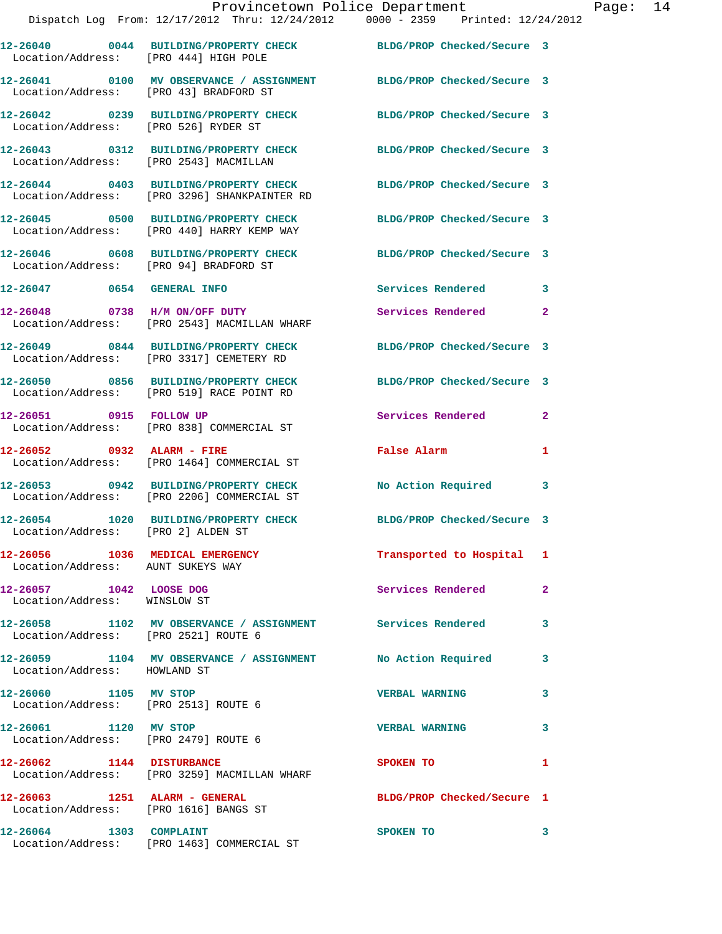|                                                                        |                                                                                       | Provincetown Police Department<br>Dispatch Log From: 12/17/2012 Thru: 12/24/2012 0000 - 2359 Printed: 12/24/2012 | Page: 14     |
|------------------------------------------------------------------------|---------------------------------------------------------------------------------------|------------------------------------------------------------------------------------------------------------------|--------------|
| Location/Address: [PRO 444] HIGH POLE                                  |                                                                                       | 12-26040 0044 BUILDING/PROPERTY CHECK BLDG/PROP Checked/Secure 3                                                 |              |
| Location/Address: [PRO 43] BRADFORD ST                                 |                                                                                       | 12-26041 0100 MV OBSERVANCE / ASSIGNMENT BLDG/PROP Checked/Secure 3                                              |              |
| Location/Address: [PRO 526] RYDER ST                                   |                                                                                       | 12-26042 0239 BUILDING/PROPERTY CHECK BLDG/PROP Checked/Secure 3                                                 |              |
| Location/Address: [PRO 2543] MACMILLAN                                 |                                                                                       | 12-26043 0312 BUILDING/PROPERTY CHECK BLDG/PROP Checked/Secure 3                                                 |              |
|                                                                        | 12-26044 0403 BUILDING/PROPERTY CHECK<br>Location/Address: [PRO 3296] SHANKPAINTER RD | BLDG/PROP Checked/Secure 3                                                                                       |              |
|                                                                        | Location/Address: [PRO 440] HARRY KEMP WAY                                            | 12-26045 0500 BUILDING/PROPERTY CHECK BLDG/PROP Checked/Secure 3                                                 |              |
| Location/Address: [PRO 94] BRADFORD ST                                 |                                                                                       | 12-26046 0608 BUILDING/PROPERTY CHECK BLDG/PROP Checked/Secure 3                                                 |              |
|                                                                        | 12-26047 0654 GENERAL INFO                                                            | Services Rendered 3                                                                                              |              |
|                                                                        | 12-26048 0738 H/M ON/OFF DUTY<br>Location/Address: [PRO 2543] MACMILLAN WHARF         | Services Rendered                                                                                                | $\mathbf{2}$ |
|                                                                        | Location/Address: [PRO 3317] CEMETERY RD                                              | 12-26049 0844 BUILDING/PROPERTY CHECK BLDG/PROP Checked/Secure 3                                                 |              |
|                                                                        | 12-26050 0856 BUILDING/PROPERTY CHECK<br>Location/Address: [PRO 519] RACE POINT RD    | BLDG/PROP Checked/Secure 3                                                                                       |              |
| 12-26051 0915 FOLLOW UP                                                | Location/Address: [PRO 838] COMMERCIAL ST                                             | Services Rendered 2                                                                                              |              |
|                                                                        | $12-26052$ 0932 ALARM - FIRE<br>Location/Address: [PRO 1464] COMMERCIAL ST            | False Alarm <b>Exercise Service Service</b>                                                                      | 1            |
|                                                                        | 12-26053 0942 BUILDING/PROPERTY CHECK<br>Location/Address: [PRO 2206] COMMERCIAL ST   | No Action Required 3                                                                                             |              |
| Location/Address: [PRO 2] ALDEN ST                                     | 12-26054 1020 BUILDING/PROPERTY CHECK                                                 | BLDG/PROP Checked/Secure 3                                                                                       |              |
| 12-26056 1036 MEDICAL EMERGENCY<br>Location/Address: AUNT SUKEYS WAY   |                                                                                       | Transported to Hospital 1                                                                                        |              |
| 12-26057 1042 LOOSE DOG<br>Location/Address: WINSLOW ST                |                                                                                       | Services Rendered                                                                                                | $\mathbf{2}$ |
| Location/Address: [PRO 2521] ROUTE 6                                   |                                                                                       | 12-26058 1102 MV OBSERVANCE / ASSIGNMENT Services Rendered 3                                                     |              |
| Location/Address: HOWLAND ST                                           |                                                                                       | 12-26059 1104 MV OBSERVANCE / ASSIGNMENT No Action Required 3                                                    |              |
| 12-26060 1105 MV STOP<br>Location/Address: [PRO 2513] ROUTE 6          |                                                                                       | <b>VERBAL WARNING</b><br>$\sim$ 3                                                                                |              |
| 12-26061 1120 MV STOP<br>Location/Address: [PRO 2479] ROUTE 6          |                                                                                       | <b>VERBAL WARNING</b>                                                                                            | 3            |
| 12-26062 1144 DISTURBANCE                                              | Location/Address: [PRO 3259] MACMILLAN WHARF                                          | <b>SPOKEN TO</b>                                                                                                 | 1            |
| 12-26063 1251 ALARM - GENERAL<br>Location/Address: [PRO 1616] BANGS ST |                                                                                       | BLDG/PROP Checked/Secure 1                                                                                       |              |
| 12-26064 1303 COMPLAINT                                                |                                                                                       | SPOKEN TO                                                                                                        |              |

Location/Address: [PRO 1463] COMMERCIAL ST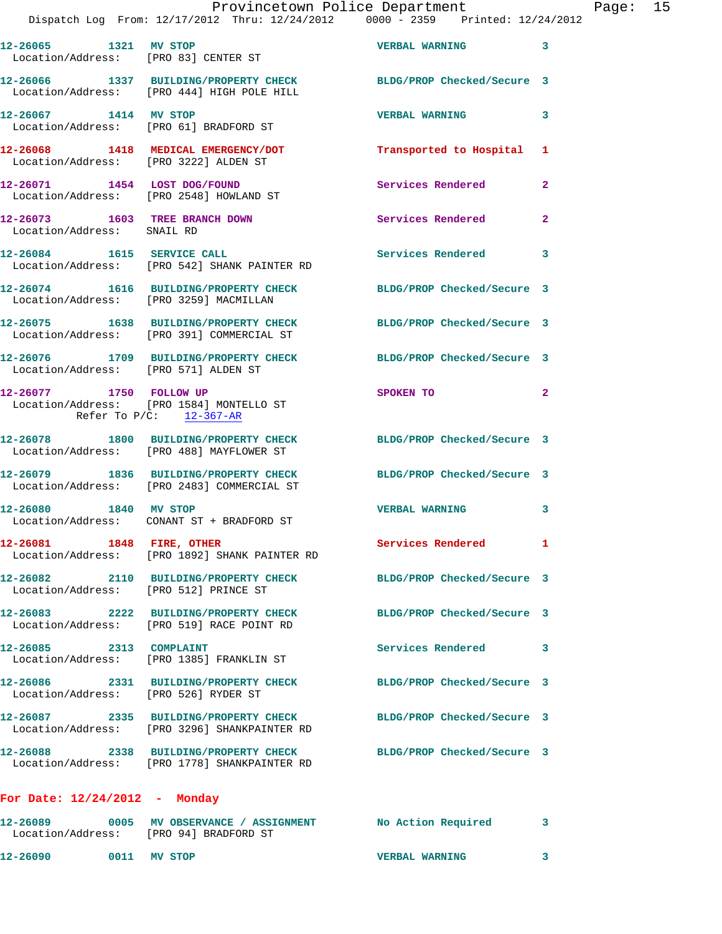|                                       |                                                                                                                | Provincetown Police Department |              | Page: 15 |  |
|---------------------------------------|----------------------------------------------------------------------------------------------------------------|--------------------------------|--------------|----------|--|
|                                       | Dispatch Log From: 12/17/2012 Thru: 12/24/2012 0000 - 2359 Printed: 12/24/2012                                 |                                |              |          |  |
| 12-26065 1321 MV STOP                 | Location/Address: [PRO 83] CENTER ST                                                                           | VERBAL WARNING 3               |              |          |  |
|                                       | 12-26066 1337 BUILDING/PROPERTY CHECK BLDG/PROP Checked/Secure 3<br>Location/Address: [PRO 444] HIGH POLE HILL |                                |              |          |  |
| 12-26067 1414 MV STOP                 | Location/Address: [PRO 61] BRADFORD ST                                                                         | VERBAL WARNING 3               |              |          |  |
| Location/Address: [PRO 3222] ALDEN ST | 12-26068 1418 MEDICAL EMERGENCY/DOT                                                                            | Transported to Hospital 1      |              |          |  |
|                                       | 12-26071 1454 LOST DOG/FOUND<br>Location/Address: [PRO 2548] HOWLAND ST                                        | Services Rendered 2            |              |          |  |
| Location/Address: SNAIL RD            | 12-26073 1603 TREE BRANCH DOWN Services Rendered                                                               |                                | $\mathbf{2}$ |          |  |
|                                       | 12-26084 1615 SERVICE CALL<br>Location/Address: [PRO 542] SHANK PAINTER RD                                     | Services Rendered 3            |              |          |  |
|                                       | 12-26074 1616 BUILDING/PROPERTY CHECK BLDG/PROP Checked/Secure 3<br>Location/Address: [PRO 3259] MACMILLAN     |                                |              |          |  |
|                                       | 12-26075 1638 BUILDING/PROPERTY CHECK BLDG/PROP Checked/Secure 3<br>Location/Address: [PRO 391] COMMERCIAL ST  |                                |              |          |  |
|                                       | 12-26076 1709 BUILDING/PROPERTY CHECK BLDG/PROP Checked/Secure 3<br>Location/Address: [PRO 571] ALDEN ST       |                                |              |          |  |
| Refer To $P/C$ : $12-367-R$           | 12-26077 1750 FOLLOW UP<br>Location/Address: [PRO 1584] MONTELLO ST                                            | SPOKEN TO                      | $\mathbf{2}$ |          |  |
|                                       | 12-26078 1800 BUILDING/PROPERTY CHECK BLDG/PROP Checked/Secure 3<br>Location/Address: [PRO 488] MAYFLOWER ST   |                                |              |          |  |
|                                       | 12-26079 1836 BUILDING/PROPERTY CHECK BLDG/PROP Checked/Secure 3<br>Location/Address: [PRO 2483] COMMERCIAL ST |                                |              |          |  |
| 12-26080<br>1840 MV STOP              | Location/Address: CONANT ST + BRADFORD ST                                                                      | <b>VERBAL WARNING</b>          | 3            |          |  |
| 12-26081 1848 FIRE, OTHER             | Location/Address: [PRO 1892] SHANK PAINTER RD                                                                  | Services Rendered 1            |              |          |  |
| Location/Address: [PRO 512] PRINCE ST | 12-26082 2110 BUILDING/PROPERTY CHECK                                                                          | BLDG/PROP Checked/Secure 3     |              |          |  |
|                                       | 12-26083 2222 BUILDING/PROPERTY CHECK<br>Location/Address: [PRO 519] RACE POINT RD                             | BLDG/PROP Checked/Secure 3     |              |          |  |
| 12-26085 2313 COMPLAINT               | Location/Address: [PRO 1385] FRANKLIN ST                                                                       | Services Rendered              | 3            |          |  |
| Location/Address: [PRO 526] RYDER ST  | 12-26086 2331 BUILDING/PROPERTY CHECK                                                                          | BLDG/PROP Checked/Secure 3     |              |          |  |
|                                       | 12-26087 2335 BUILDING/PROPERTY CHECK                                                                          | BLDG/PROP Checked/Secure 3     |              |          |  |

**12-26088 2338 BUILDING/PROPERTY CHECK BLDG/PROP Checked/Secure 3**  Location/Address: [PRO 1778] SHANKPAINTER RD

Location/Address: [PRO 3296] SHANKPAINTER RD

## **For Date: 12/24/2012 - Monday**

| 12-26089<br>Location/Address: |      | 0005 MV OBSERVANCE / ASSIGNMENT<br>[PRO 94] BRADFORD ST | No Action Required    |  |
|-------------------------------|------|---------------------------------------------------------|-----------------------|--|
| 12-26090                      | 0011 | MV STOP                                                 | <b>VERBAL WARNING</b> |  |